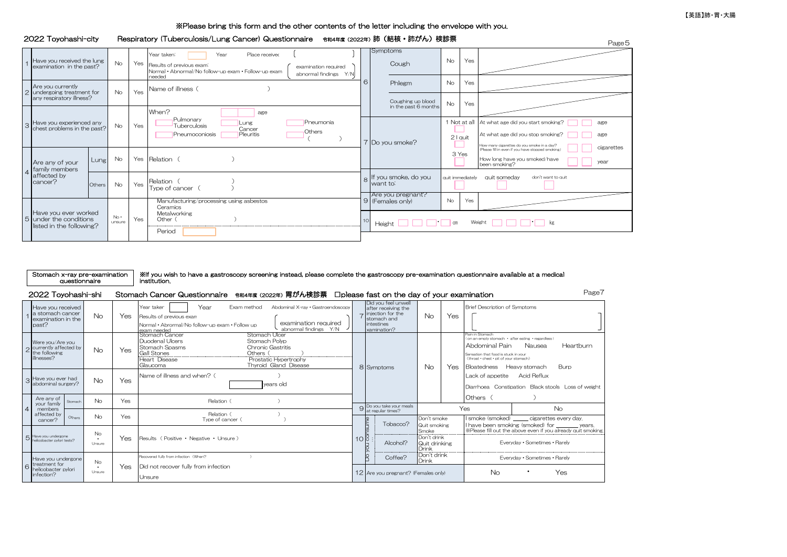### ※Please bring this form and the other contents of the letter including the envelope with you.

### 2022 Toyohashi-city Respiratory (Tuberculosis/Lung Cancer) Questionnaire 合和4年度(2022年) 肺 (結核・肺がん) 検診票

|  |                                                                             |        |               |     |                                                                                                                                                                                           |               |                                                           |                  |          | I asc J                                                                                                                                                                 |
|--|-----------------------------------------------------------------------------|--------|---------------|-----|-------------------------------------------------------------------------------------------------------------------------------------------------------------------------------------------|---------------|-----------------------------------------------------------|------------------|----------|-------------------------------------------------------------------------------------------------------------------------------------------------------------------------|
|  | Have you received the lung<br>examination in the past?                      |        | No            |     | Year taken:<br>Year<br>Place received<br>Yes Results of previous exam:<br>examination required<br>Normal • Abnormal/No follow-up exam • Follow-up exam<br>abnormal findings Y/N<br>needed |               | Symptoms<br>Cough                                         | <b>No</b>        | Yes      |                                                                                                                                                                         |
|  | Are you currently<br>2 undergoing treatment for<br>any respiratory illness? |        | No.           | Yes | Name of illness (                                                                                                                                                                         |               | Phlegm                                                    | <b>No</b>        | Yes      |                                                                                                                                                                         |
|  |                                                                             |        |               |     | When?<br>age                                                                                                                                                                              |               | Coughing up blood<br>in the past 6 months                 | <b>No</b>        | Yes      |                                                                                                                                                                         |
|  | 3 Have you experienced any<br>chest problems in the past?                   |        |               | Yes | Pulmonary<br>Pneumonia<br>Lung<br>Tuberculosis<br>Cancer<br>Others<br>Pleuritis<br>Pneumoconiosis                                                                                         |               | Do you smoke?                                             |                  | 2 I quit | 1 Not at all At what age did you start smoking?<br>age<br>At what age did you stop smoking?<br>age                                                                      |
|  | Are any of your<br>family members                                           | Lung   | No            |     | Yes Relation (                                                                                                                                                                            |               |                                                           |                  | 3 Yes    | How many cigarettes do you smoke in a day?<br>(Please fill in even if you have stopped smoking.<br>cigarettes<br>How long have you smoked/have<br>year<br>been smoking? |
|  | affected by<br>cancer?                                                      | Others | <b>No</b>     | Yes | Relation (<br>Type of cancer (                                                                                                                                                            | $\mathcal{R}$ | If you smoke, do you<br>want to:<br>Are you pregnant?     | quit immediately |          | quit someday<br>don't want to quit                                                                                                                                      |
|  |                                                                             |        |               |     | Manufacturing/processing using asbestos<br>Ceramics                                                                                                                                       |               | 9 (Females only)                                          | No               | Yes      |                                                                                                                                                                         |
|  | Have you ever worked<br>5 under the conditions<br>listed in the following?  |        | No.<br>unsure | Yes | Metalworking<br>Other (<br>Period                                                                                                                                                         |               | Weight $\Box$ $\Box$ kg<br>Height $\Box$ $\Box$ $\Box$ cm |                  |          |                                                                                                                                                                         |
|  |                                                                             |        |               |     |                                                                                                                                                                                           |               |                                                           |                  |          |                                                                                                                                                                         |

| Stomach x-ray pre-examination |  |  |  |  |  |  |
|-------------------------------|--|--|--|--|--|--|
| questionnaire                 |  |  |  |  |  |  |

#### ※If you wish to have a gastroscopy screening instead, please complete the gastroscopy pre-examination questionnaire available at a medical institution.

#### 2022 Toyohashi-shi Stomach Cancer Questionnaire <sub>令和4年度(2022年)</sub> 胃がん検診票 口please fast on the day of your examination

Page7

|                |                                                    | Have you received<br>a stomach cancer<br>examination in the<br>past?       |         | <b>No</b>               | Yes. | Year taker<br>Exam method:<br>Abdominal X-ray . Gastroendoscopy<br>Year<br>Results of previous exam<br>examination required<br>Normal • Abrormal/No follow-up exam • Follow up<br>abnormal findings Y/N<br>exam needed                  |                  | Did you feel unwell<br>after receiving the<br>$\rightarrow$ injection for the<br>stomach and<br>intestines<br>xamination? | No.                                                                           | Yes | <b>Brief Description of Symptoms</b>                                                                                                                                                                                                 |
|----------------|----------------------------------------------------|----------------------------------------------------------------------------|---------|-------------------------|------|-----------------------------------------------------------------------------------------------------------------------------------------------------------------------------------------------------------------------------------------|------------------|---------------------------------------------------------------------------------------------------------------------------|-------------------------------------------------------------------------------|-----|--------------------------------------------------------------------------------------------------------------------------------------------------------------------------------------------------------------------------------------|
|                |                                                    | Were you/Are you<br>o currently affected by<br>the following<br>illnesses? |         | <b>No</b>               | Yes  | Stomach Cancer<br>Stomach Ulcer<br>Duodenal Ulcers<br>Stomach Polyp<br><b>Stomach Spasms</b><br><b>Chronic Gastritis</b><br><b>Gall Stones</b><br>Others<br>Heart Disease<br>Prostatic Hypertrophy<br>Thyroid Gland Disease<br>Glaucoma |                  | 8 Symptoms                                                                                                                | No.                                                                           | Yes | Pain in Stomach<br>on an empty stomach · after eating · regardless I<br>Abdominal Pain<br>Heartburn<br>Nausea<br>Sensation that food is stuck in your<br>(throat · chest · pit of your stomach)<br>Burp<br>Bloatedness Heavy stomach |
|                | 3                                                  | Have you ever had<br>abdominal surgery?                                    |         | <b>No</b>               | Yes  | Name of illness and when? (<br>years old                                                                                                                                                                                                |                  |                                                                                                                           |                                                                               |     | Lack of appetite Acid Reflux<br>Diarrhoea Constipation Black stools Loss of weight                                                                                                                                                   |
|                | Are any of<br>your family                          |                                                                            | Stomach | <b>No</b><br>Yes        |      | Relation (                                                                                                                                                                                                                              |                  |                                                                                                                           |                                                                               |     | Others (                                                                                                                                                                                                                             |
| $\overline{4}$ |                                                    | members<br>affected by                                                     | Others  | <b>No</b>               | Yes  | Relation (                                                                                                                                                                                                                              |                  | 9 Do you take your meals<br>at regular times?                                                                             | Don't smoke<br>Quit smoking<br>Smoke<br>Don't drink<br>Quit drinking<br>Drink |     | Yes<br><b>No</b>                                                                                                                                                                                                                     |
|                |                                                    | cancer?                                                                    |         |                         |      | Type of cancer (                                                                                                                                                                                                                        |                  | Tobacco?                                                                                                                  |                                                                               |     | I smoke (smoked) _____ cigarettes every day.<br>I have been smoking (smoked) for ________ years.<br>XPlease fill out the above even if you already quit smoking.                                                                     |
|                |                                                    | 5 Have you undergone<br>helicobacter pylori tests?                         |         | No<br>$\cdot$<br>Unsure | Yes  | Results (Positive · Negative · Unsure)                                                                                                                                                                                                  | $10\overline{8}$ | Alcohol?                                                                                                                  |                                                                               |     | Everyday · Sometimes · Rarely                                                                                                                                                                                                        |
|                |                                                    | Have you undergone                                                         |         | No                      |      | Recovered fully from infection (When?                                                                                                                                                                                                   |                  | R<br>Coffee?                                                                                                              | Don't drink<br>Drink                                                          |     | Everyday · Sometimes · Rarely                                                                                                                                                                                                        |
| $\epsilon$     | treatment for<br>helicobacter pylori<br>infection? |                                                                            |         | $\cdot$<br>Unsure       | Yes  | Did not recover fully from infection<br>Unsure                                                                                                                                                                                          |                  | 12 Are you pregnant? (Females only)                                                                                       |                                                                               |     | No<br>Yes<br>$\bullet$                                                                                                                                                                                                               |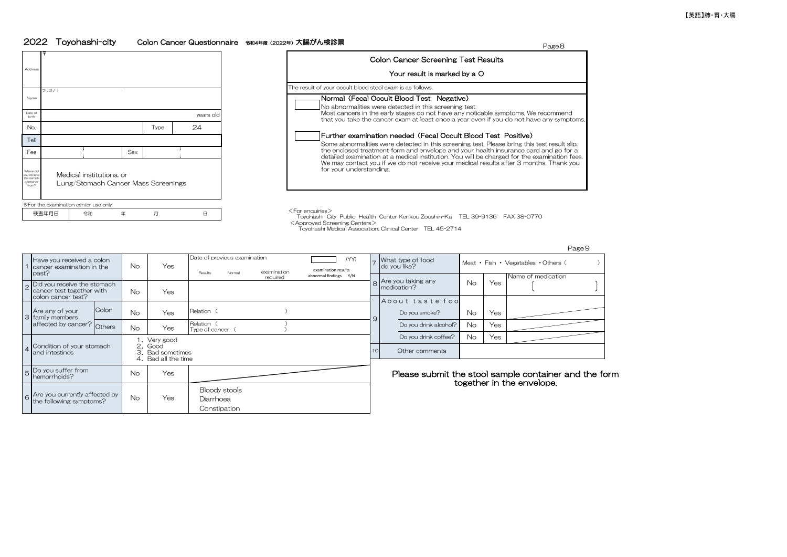## 2022 Toyohashi-city Colon Cancer Questionnaire 令和4年度(2022年)大腸がん検診票 Page8

**Constipation** 



|                                                        |                                                                 |      |           | rageర                                                                                                                                                                                |
|--------------------------------------------------------|-----------------------------------------------------------------|------|-----------|--------------------------------------------------------------------------------------------------------------------------------------------------------------------------------------|
| ddress                                                 |                                                                 |      |           | <b>Colon Cancer Screening Test Results</b>                                                                                                                                           |
|                                                        |                                                                 |      |           | Your result is marked by a O                                                                                                                                                         |
|                                                        | フリガナ                                                            |      |           | The result of your occult blood stool exam is as follows.                                                                                                                            |
| Name                                                   |                                                                 |      |           | Normal (Fecal Occult Blood Test Negative)<br>No abnormalities were detected in this screening test.                                                                                  |
| Date of                                                |                                                                 |      | years old | Most cancers in the early stages do not have any noticable symptoms. We recommend<br>that you take the cancer exam at least once a year even if you do not have any symptoms.        |
| No.                                                    |                                                                 | Type | 24        |                                                                                                                                                                                      |
| Tel:                                                   |                                                                 |      |           | Further examination needed (Fecal Occult Blood Test Positive)<br>Some abnormalities were detected in this screening test. Please bring this test result slip,                        |
| Fee                                                    | Sex                                                             |      |           | the enclosed treatment form and envelope and your health insurance card and go for a<br>detailed examination at a medical institution. You will be charged for the examination fees. |
| here did<br>u receive<br>e sample<br>ontainer<br>from? | Medical institutions, or<br>Lung/Stomach Cancer Mass Screenings |      |           | We may contact you if we do not receive your medical results after 3 months. Thank you<br>for your understanding.                                                                    |

 Toyohashi City Public Health Center Kenkou Zoushin-Ka TEL 39-9136 FAX 38-0770 <Approved Screening Centers>

Toyohashi Medical Association, Clinical Center TEL 45-2714

Do you smoke? No No Do you drink coffee? Yes 6 No Yes Are you currently affected by the following symptoms? Other comments Bloody stools Do you suffer from<br>hemorrhoids?  $h_{\text{obs}}$  Yes  $\parallel$  Yes  $\parallel$  Yes Please submit the stool sample container and the form together in the envelope. Yes Diarrhoea 5 Others No Yes Relation ( )<br>Others No Yes Type of cancer ( ) 4 Condition of your stomach and intestines 1.Very good 2.Good 3.Bad sometimes 4.Bad all the time No About taste food 9 Do you drink alcohol? No 8 What type of food do you like? Yes Colon No Yes Relation ( ) ) Doyou smoke? No Yes Are you taking any medication? Yes Relation ( ) Yes 2 Did you receive the stomach cancer test together with colon cancer test? No 3 Are any of your family members affected by cancer? No Page9 1 Have you received a colon cancer examination in the past? Pate of previous examination<br>
Pres Presents Normal examination examination results<br>
Presents Normal examination of the second of the second of the second of the second of the second of the second of the second of the seco Name of medication No Date of previous examination examination required examination results abnormal findings Y/N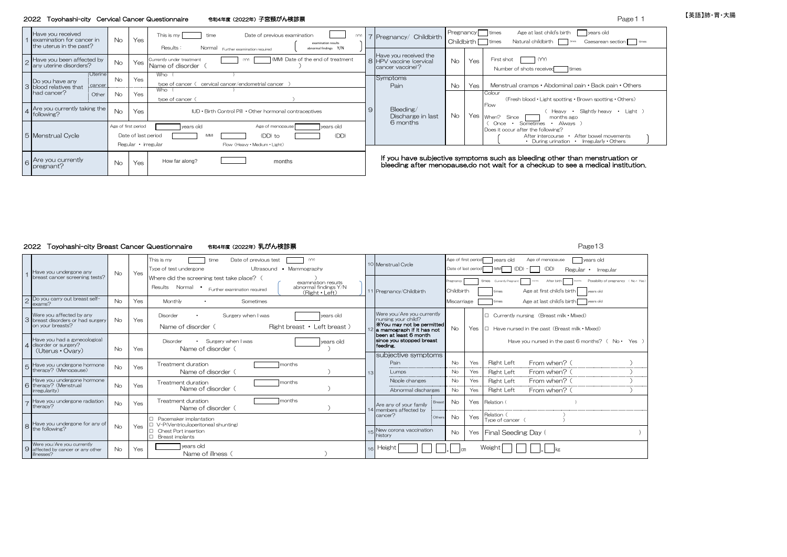#### 2022 Toyohashi-city Cervical Cancer Questionnaire 令和4年度(2022年)子宮頸がん検診票

| Page 11 |
|---------|
|         |

| Have you received<br>examination for cancer in<br>the uterus in the past? | <b>No</b>           | Yes                                        | This is my<br>Date of previous examination<br>$(\forall \gamma)$<br>time<br>examination results<br>Results:<br>Normal Further examination required<br>abnormal findings Y/N |              | 7 Pregnancy/ Childbirth                                              | Childbirth |     | Age at last child's birth<br>years old<br>Pregnancy times<br>Natural childbirth<br>Caesarean section times<br>times<br>times                                            |
|---------------------------------------------------------------------------|---------------------|--------------------------------------------|-----------------------------------------------------------------------------------------------------------------------------------------------------------------------------|--------------|----------------------------------------------------------------------|------------|-----|-------------------------------------------------------------------------------------------------------------------------------------------------------------------------|
| Have you been affected by<br>any uterine disorders?                       | <b>No</b>           |                                            | (MM) Date of the end of treatment<br>Currently under treatment<br>(YY)<br>  Yes Name of disorder                                                                            |              | Have you received the<br>8 HPV vaccine (cervical<br>cancer vaccine)? | <b>No</b>  | Yes | (YY)<br>First shot<br>Number of shots received<br>times                                                                                                                 |
| Uterine<br>Do you have any<br>cancer<br>3 blood relatives that            | <b>No</b>           | Yes                                        | Who<br>cervical cancer/endometrial cancer<br>type of cancer<br>Who                                                                                                          |              | Symptoms<br>Pain                                                     | No         | Yes | Menstrual cramps • Abdominal pain • Back pain • Others                                                                                                                  |
| had cancer?<br>Other                                                      | No.                 | Yes                                        | type of cancer                                                                                                                                                              |              |                                                                      |            |     | Colour<br>(Fresh blood • Light spotting • Brown spotting • Others)                                                                                                      |
| A Are you currently taking the<br>following?                              | <b>No</b>           | Yes                                        | IUD . Birth Control Pill . Other hormonal contraceptives                                                                                                                    | $\mathbf{9}$ | Bleeding/<br>Discharge in last                                       | <b>No</b>  |     | Flow<br>Heavy • Slightly heavy • Light<br>Yes When?<br>months ago<br>Since                                                                                              |
| 5 Menstrual Cycle                                                         | Age of first period | Date of last period<br>Regular • irregular | years old<br>years old<br>Age of menopause<br>(DD) to<br>(DD)<br>Flow (Heavy · Medium · Light)                                                                              |              | 6 months                                                             |            |     | Always<br>Sometimes<br>Once<br>$\cdot$<br>Does it occur after the following?<br>After bowel movements<br>After intercourse<br>• During urination • Irregularly • Others |
| $\epsilon$   Are you currently<br>pregnant?                               | <b>No</b>           | Yes                                        | How far along?<br>months                                                                                                                                                    |              |                                                                      |            |     | If you have subjective symptoms such as bleeding other than menstruation or<br>bleeding after menopause, do not wait for a checkup to see a medical institution.        |

### 2022 Toyohashi-city Breast Cancer Questionnaire 令和4年度(2022年)乳がん検診票 Page13

time Date of previous test (YY) Age of first period vears old Age of menopause years old This is my Menstrual Cycle Type of test undergone **Calculation** Ultrasound • Mammography Date of last period (MM) (DD) - (DD) Regular • Irregular Have you undergone any Yes No 1 breast cancer screening tests? Where did the screening test take place? ( examination results<br>abnormal findings Y/N **Firmes** Currently Pre Currently Pregnant Months After birth months Possibility of pregnancy (No Yes) Results Normal • Further examination required | abnormal findings \ abnormal findings \ abnormal findings \ \ R Pregnancy/Childbirth Childbirth (Right Left) 11 Pregnancy/Childbirth Childbirth times Age at first child's birth vears old Do you carry out breast self-<br>exams? Age at last child's birth vears old ・ 2 exams? No Yes Monthly Sometimes Sometimes (Noted times Miscarriage times Age at last child's birth Sometimes Age at last child's birth Sometimes (Noted times Age at last child's birth Sometimes Sometimes (Noted times Age a Were you/Are you currently Were you affected by any Disorder • Surgery when I was vears old Were you/Are you currently □ Currently nursing (Breast milk • Mixed) nursing your child? breast disorders or had surgery No Yes 3 ※You may not be permitted on your breasts? Name of disorder( Right breast ・ Left breast ) No Yes □ Have nursed in the past(Breast milk・Mixed) 12 a mamograph if it has not been at least 6 month since you stopped breast feeding. Have you had a gynecological Disorder • Surgery when I was your stage old **Since you stopped breast** Have you nursed in the past 6 months? (No• Yes ) disorder or surgery? 4 No Yes Name of disorder ( (Uterus・Ovary) subjective symptoms Pain No Yes Right Left  $From when?$  ( No Yes Treatment duration **Transformation** months Have you undergone hormone therapy?(Menopause) 5 No Yes Right Left From when?( ) Name of disorder ( $\overline{\hspace{1cm}}$  )  $\overline{\hspace{1cm}}$  Lumps 13 Nipple changes No Yes Right Left From when? Have you undergone hormone therapy?(Menstrual No Yes Treatment duration Contract months 6 Name of disorder( ) Abnormal discharges No Yes Right Left From when?( ) irregularity) Have you undergone radiation<br>therapy?  $N_{\rm O}$   $\sim$  Treatment duration months are months  $N_{\rm O}$  and  $N_{\rm O}$  are  $N_{\rm O}$  and  $N_{\rm O}$  are  $N_{\rm O}$  and  $N_{\rm O}$   $\sim$   $N_{\rm O}$   $\sim$   $N_{\rm O}$   $\sim$   $N_{\rm O}$   $\sim$   $N_{\rm O}$   $\sim$   $N_{\rm O}$   $\sim$   $N_{\rm O}$   $\sim$   $N_{\rm O}$ 7 Are any of your family therapy?  $14$   $14$   $15$   $16$   $12$   $14$   $14$ members affected by . . . . . . . . . . . . . . . . . . cancer? Others  $N_o$   $Yes$  Relation ( □ Pacemaker implantation Type of cancer ( Have you undergone for any of No Yes □ V-P(Ventriculoperitoneal shunting) 8 the following? □ Chest Port insertion New corona vaccination No Yes Final Seeding Day ( □ Breast implants Were you/Are you currently No Yes years old Name of illness( ) ㎏ **Height** 9 ㎝ Weight . affected by cancer or any other 16 isses?